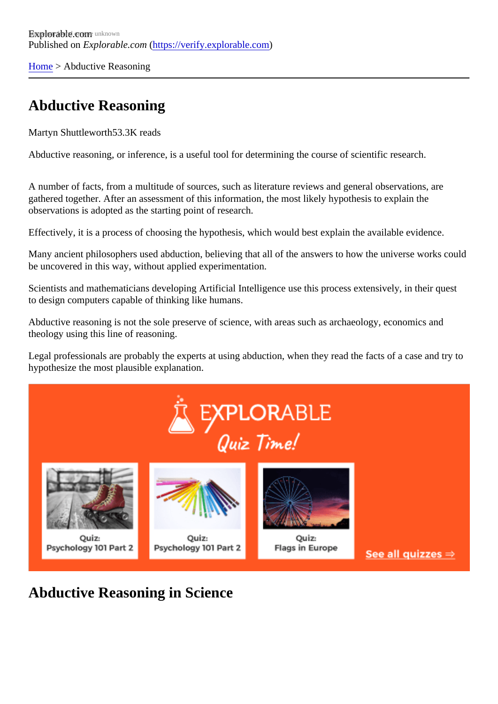[Home](https://verify.explorable.com/)> Abductive Reasoning

## Abductive Reasoning

Martyn Shuttlewort<sup>53.3K</sup> reads

Abductive reasoning, or inference, is a useful tool for determining the course of scientific research.

A number of facts, from a multitude of sources, such as literature reviews and general observations, are gathered together. After an assessment of this information, the most likely hypothesis to explain the observations is adopted as the starting point of research.

Effectively, it is a process of choosing the hypothesis, which would best explain the available evidence.

Many ancient philosophers used abduction, believing that all of the answers to how the universe works co be uncovered in this way, without applied experimentation.

Scientists and mathematicians developing Artificial Intelligence use this process extensively, in their quest to design computers capable of thinking like humans.

Abductive reasoning is not the sole preserve of science, with areas such as archaeology, economics and theology using this line of reasoning.

Legal professionals are probably the experts at using abduction, when they read the facts of a case and tr hypothesize the most plausible explanation.

Abductive Reasoning in Science